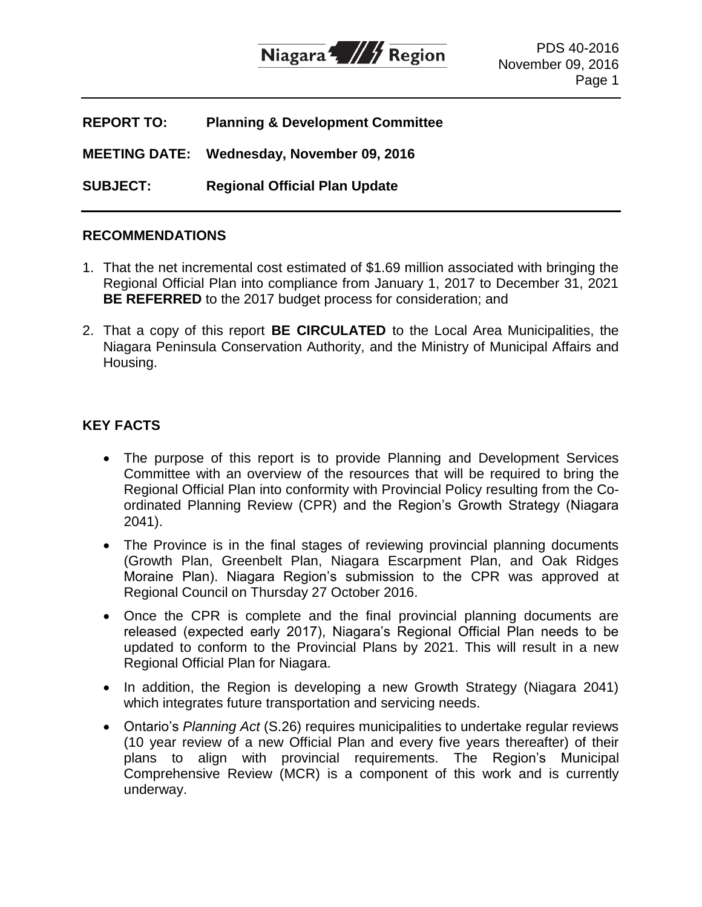

| <b>REPORT TO:</b>    | <b>Planning &amp; Development Committee</b> |
|----------------------|---------------------------------------------|
| <b>MEETING DATE:</b> | Wednesday, November 09, 2016                |
| <b>SUBJECT:</b>      | <b>Regional Official Plan Update</b>        |

### **RECOMMENDATIONS**

- 1. That the net incremental cost estimated of \$1.69 million associated with bringing the Regional Official Plan into compliance from January 1, 2017 to December 31, 2021 **BE REFERRED** to the 2017 budget process for consideration; and
- 2. That a copy of this report **BE CIRCULATED** to the Local Area Municipalities, the Niagara Peninsula Conservation Authority, and the Ministry of Municipal Affairs and Housing.

## **KEY FACTS**

- The purpose of this report is to provide Planning and Development Services Committee with an overview of the resources that will be required to bring the Regional Official Plan into conformity with Provincial Policy resulting from the Coordinated Planning Review (CPR) and the Region's Growth Strategy (Niagara 2041).
- The Province is in the final stages of reviewing provincial planning documents (Growth Plan, Greenbelt Plan, Niagara Escarpment Plan, and Oak Ridges Moraine Plan). Niagara Region's submission to the CPR was approved at Regional Council on Thursday 27 October 2016.
- Once the CPR is complete and the final provincial planning documents are released (expected early 2017), Niagara's Regional Official Plan needs to be updated to conform to the Provincial Plans by 2021. This will result in a new Regional Official Plan for Niagara.
- In addition, the Region is developing a new Growth Strategy (Niagara 2041) which integrates future transportation and servicing needs.
- Ontario's *Planning Act* (S.26) requires municipalities to undertake regular reviews (10 year review of a new Official Plan and every five years thereafter) of their plans to align with provincial requirements. The Region's Municipal Comprehensive Review (MCR) is a component of this work and is currently underway.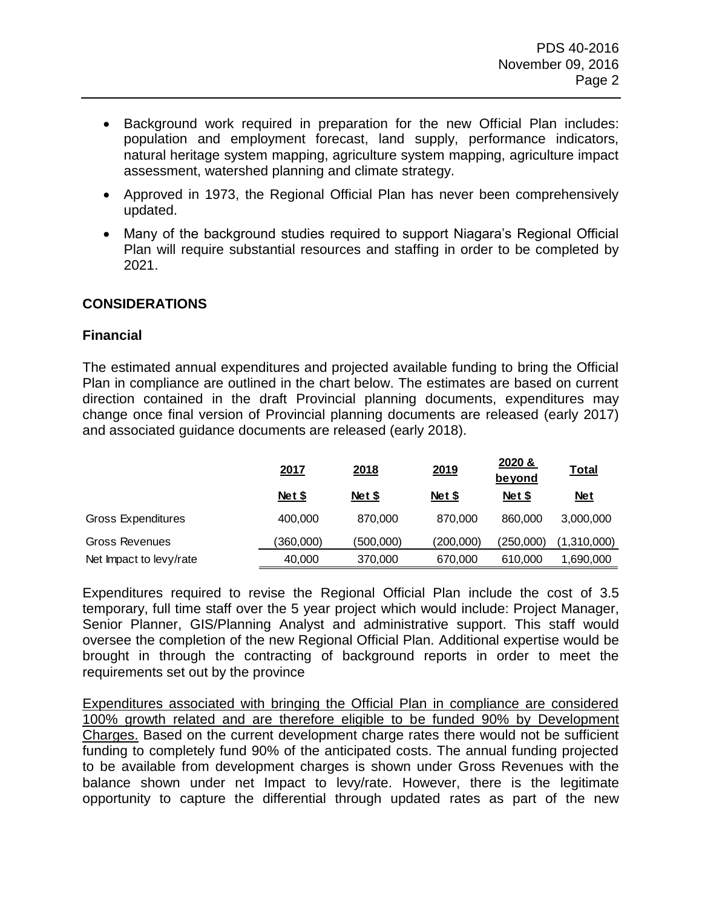- Background work required in preparation for the new Official Plan includes: population and employment forecast, land supply, performance indicators, natural heritage system mapping, agriculture system mapping, agriculture impact assessment, watershed planning and climate strategy.
- Approved in 1973, the Regional Official Plan has never been comprehensively updated.
- Many of the background studies required to support Niagara's Regional Official Plan will require substantial resources and staffing in order to be completed by 2021.

## **CONSIDERATIONS**

#### **Financial**

The estimated annual expenditures and projected available funding to bring the Official Plan in compliance are outlined in the chart below. The estimates are based on current direction contained in the draft Provincial planning documents, expenditures may change once final version of Provincial planning documents are released (early 2017) and associated guidance documents are released (early 2018).

|                           | 2017      | 2018      | 2019      | 2020 &<br><u>beyond</u> | <b>Total</b> |
|---------------------------|-----------|-----------|-----------|-------------------------|--------------|
|                           | Net \$    | Net \$    | Net \$    | <b>Net \$</b>           | <u>Net</u>   |
| <b>Gross Expenditures</b> | 400,000   | 870,000   | 870,000   | 860,000                 | 3,000,000    |
| <b>Gross Revenues</b>     | (360,000) | (500,000) | (200,000) | (250,000)               | (1,310,000)  |
| Net Impact to levy/rate   | 40,000    | 370,000   | 670,000   | 610,000                 | 1,690,000    |

Expenditures required to revise the Regional Official Plan include the cost of 3.5 temporary, full time staff over the 5 year project which would include: Project Manager, Senior Planner, GIS/Planning Analyst and administrative support. This staff would oversee the completion of the new Regional Official Plan. Additional expertise would be brought in through the contracting of background reports in order to meet the requirements set out by the province

Expenditures associated with bringing the Official Plan in compliance are considered 100% growth related and are therefore eligible to be funded 90% by Development Charges. Based on the current development charge rates there would not be sufficient funding to completely fund 90% of the anticipated costs. The annual funding projected to be available from development charges is shown under Gross Revenues with the balance shown under net Impact to levy/rate. However, there is the legitimate opportunity to capture the differential through updated rates as part of the new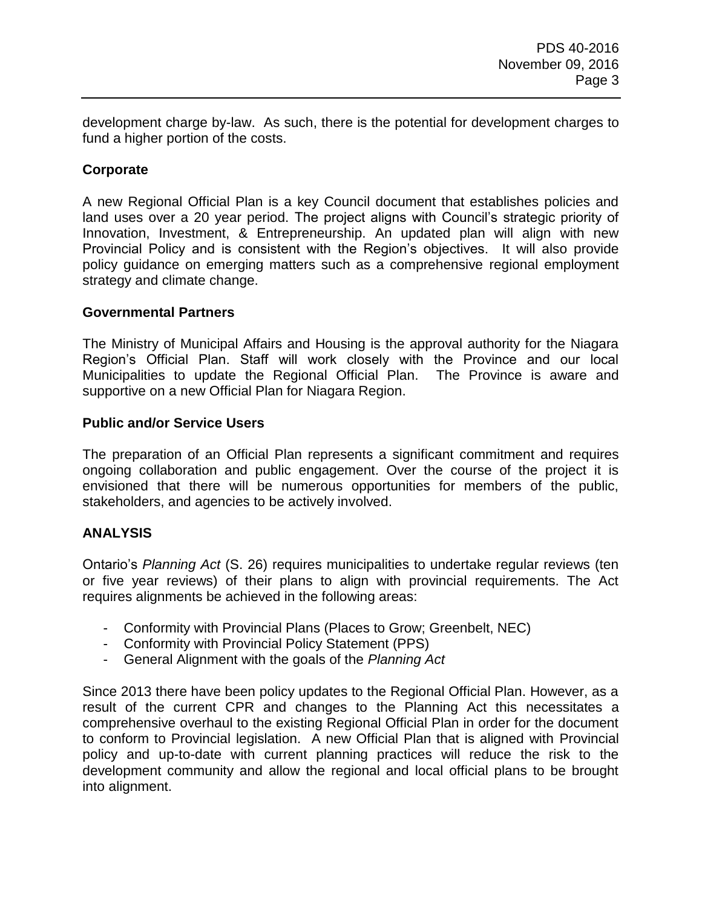development charge by-law. As such, there is the potential for development charges to fund a higher portion of the costs.

# **Corporate**

A new Regional Official Plan is a key Council document that establishes policies and land uses over a 20 year period. The project aligns with Council's strategic priority of Innovation, Investment, & Entrepreneurship. An updated plan will align with new Provincial Policy and is consistent with the Region's objectives. It will also provide policy guidance on emerging matters such as a comprehensive regional employment strategy and climate change.

### **Governmental Partners**

The Ministry of Municipal Affairs and Housing is the approval authority for the Niagara Region's Official Plan. Staff will work closely with the Province and our local Municipalities to update the Regional Official Plan. The Province is aware and supportive on a new Official Plan for Niagara Region.

### **Public and/or Service Users**

The preparation of an Official Plan represents a significant commitment and requires ongoing collaboration and public engagement. Over the course of the project it is envisioned that there will be numerous opportunities for members of the public, stakeholders, and agencies to be actively involved.

## **ANALYSIS**

Ontario's *Planning Act* (S. 26) requires municipalities to undertake regular reviews (ten or five year reviews) of their plans to align with provincial requirements. The Act requires alignments be achieved in the following areas:

- Conformity with Provincial Plans (Places to Grow; Greenbelt, NEC)
- Conformity with Provincial Policy Statement (PPS)
- General Alignment with the goals of the *Planning Act*

Since 2013 there have been policy updates to the Regional Official Plan. However, as a result of the current CPR and changes to the Planning Act this necessitates a comprehensive overhaul to the existing Regional Official Plan in order for the document to conform to Provincial legislation. A new Official Plan that is aligned with Provincial policy and up-to-date with current planning practices will reduce the risk to the development community and allow the regional and local official plans to be brought into alignment.